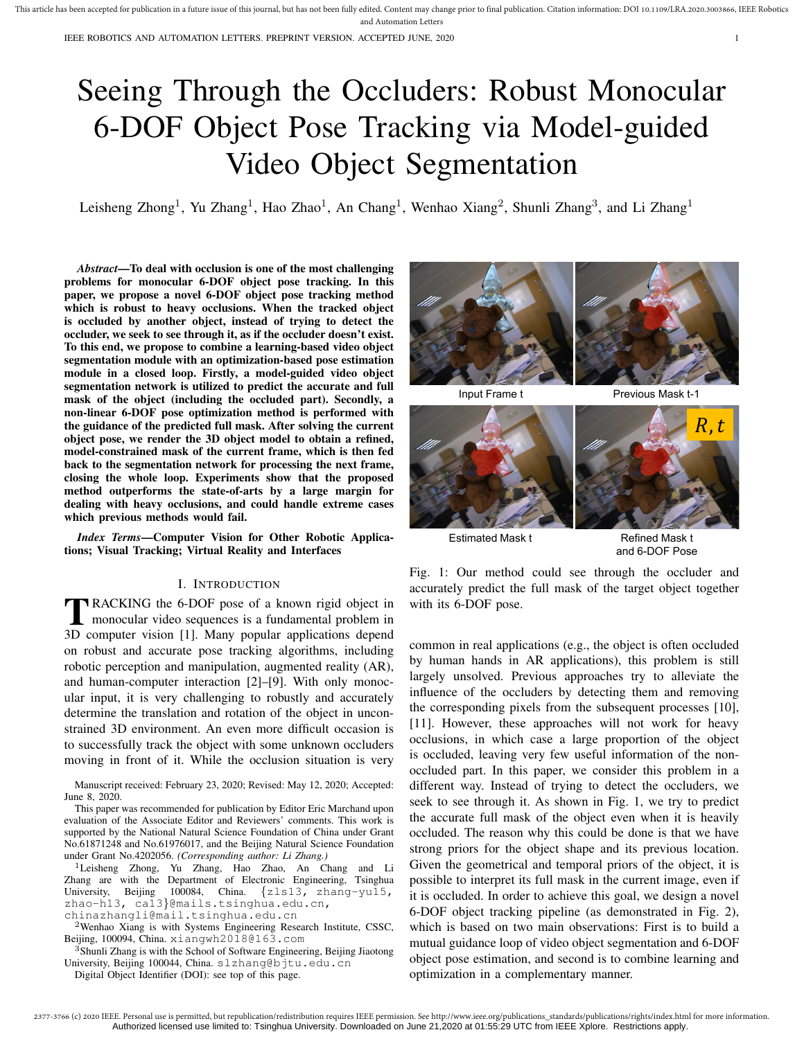IEEE ROBOTICS AND AUTOMATION LETTERS. PREPRINT VERSION. ACCEPTED JUNE, 2020 1

# Seeing Through the Occluders: Robust Monocular 6-DOF Object Pose Tracking via Model-guided Video Object Segmentation

Leisheng Zhong<sup>1</sup>, Yu Zhang<sup>1</sup>, Hao Zhao<sup>1</sup>, An Chang<sup>1</sup>, Wenhao Xiang<sup>2</sup>, Shunli Zhang<sup>3</sup>, and Li Zhang<sup>1</sup>

*Abstract*—To deal with occlusion is one of the most challenging problems for monocular 6-DOF object pose tracking. In this paper, we propose a novel 6-DOF object pose tracking method which is robust to heavy occlusions. When the tracked object is occluded by another object, instead of trying to detect the occluder, we seek to see through it, as if the occluder doesn't exist. To this end, we propose to combine a learning-based video object segmentation module with an optimization-based pose estimation module in a closed loop. Firstly, a model-guided video object segmentation network is utilized to predict the accurate and full mask of the object (including the occluded part). Secondly, a non-linear 6-DOF pose optimization method is performed with the guidance of the predicted full mask. After solving the current object pose, we render the 3D object model to obtain a refined, model-constrained mask of the current frame, which is then fed back to the segmentation network for processing the next frame, closing the whole loop. Experiments show that the proposed method outperforms the state-of-arts by a large margin for dealing with heavy occlusions, and could handle extreme cases which previous methods would fail.

*Index Terms*—Computer Vision for Other Robotic Applications; Visual Tracking; Virtual Reality and Interfaces

### I. INTRODUCTION

**TRACKING** the 6-DOF pose of a known rigid object in<br>monocular video sequences is a fundamental problem in monocular video sequences is a fundamental problem in 3D computer vision [1]. Many popular applications depend on robust and accurate pose tracking algorithms, including robotic perception and manipulation, augmented reality (AR), and human-computer interaction [2]–[9]. With only monocular input, it is very challenging to robustly and accurately determine the translation and rotation of the object in unconstrained 3D environment. An even more difficult occasion is to successfully track the object with some unknown occluders moving in front of it. While the occlusion situation is very

Manuscript received: February 23, 2020; Revised: May 12, 2020; Accepted: June 8, 2020.

This paper was recommended for publication by Editor Eric Marchand upon evaluation of the Associate Editor and Reviewers' comments. This work is supported by the National Natural Science Foundation of China under Grant No.61871248 and No.61976017, and the Beijing Natural Science Foundation under Grant No.4202056. *(Corresponding author: Li Zhang.)*

<sup>1</sup>Leisheng Zhong, Yu Zhang, Hao Zhao, An Chang and Li Zhang are with the Department of Electronic Engineering, Tsinghua University, Beijing 100084, China. {zls13, zhang-yu15, zhao-h13, ca13}@mails.tsinghua.edu.cn, chinazhangli@mail.tsinghua.edu.cn

<sup>2</sup>Wenhao Xiang is with Systems Engineering Research Institute, CSSC, Beijing, 100094, China. xiangwh2018@163.com

<sup>3</sup>Shunli Zhang is with the School of Software Engineering, Beijing Jiaotong University, Beijing 100044, China. slzhang@bjtu.edu.cn

Digital Object Identifier (DOI): see top of this page.



Estimated Mask t Refined Mask t and 6-DOF Pose

Fig. 1: Our method could see through the occluder and accurately predict the full mask of the target object together with its 6-DOF pose.

common in real applications (e.g., the object is often occluded by human hands in AR applications), this problem is still largely unsolved. Previous approaches try to alleviate the influence of the occluders by detecting them and removing the corresponding pixels from the subsequent processes [10], [11]. However, these approaches will not work for heavy occlusions, in which case a large proportion of the object is occluded, leaving very few useful information of the nonoccluded part. In this paper, we consider this problem in a different way. Instead of trying to detect the occluders, we seek to see through it. As shown in Fig. 1, we try to predict the accurate full mask of the object even when it is heavily occluded. The reason why this could be done is that we have strong priors for the object shape and its previous location. Given the geometrical and temporal priors of the object, it is possible to interpret its full mask in the current image, even if it is occluded. In order to achieve this goal, we design a novel 6-DOF object tracking pipeline (as demonstrated in Fig. 2), which is based on two main observations: First is to build a mutual guidance loop of video object segmentation and 6-DOF object pose estimation, and second is to combine learning and optimization in a complementary manner.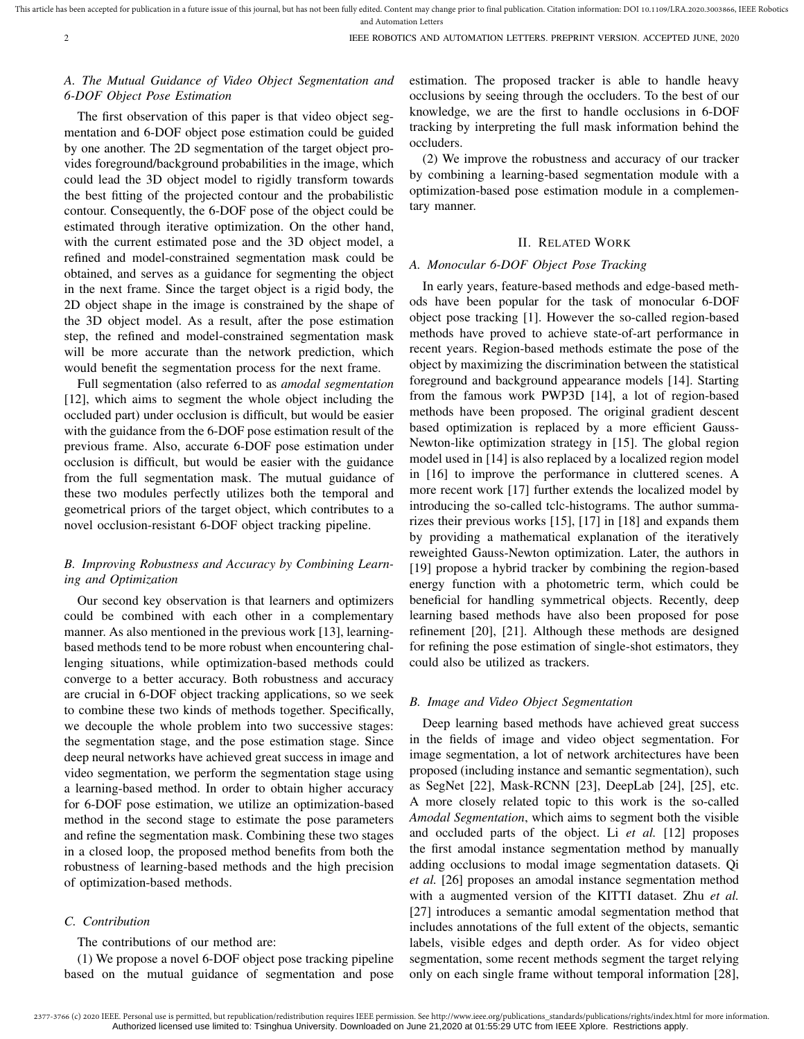# *A. The Mutual Guidance of Video Object Segmentation and 6-DOF Object Pose Estimation*

The first observation of this paper is that video object segmentation and 6-DOF object pose estimation could be guided by one another. The 2D segmentation of the target object provides foreground/background probabilities in the image, which could lead the 3D object model to rigidly transform towards the best fitting of the projected contour and the probabilistic contour. Consequently, the 6-DOF pose of the object could be estimated through iterative optimization. On the other hand, with the current estimated pose and the 3D object model, a refined and model-constrained segmentation mask could be obtained, and serves as a guidance for segmenting the object in the next frame. Since the target object is a rigid body, the 2D object shape in the image is constrained by the shape of the 3D object model. As a result, after the pose estimation step, the refined and model-constrained segmentation mask will be more accurate than the network prediction, which would benefit the segmentation process for the next frame.

Full segmentation (also referred to as *amodal segmentation* [12], which aims to segment the whole object including the occluded part) under occlusion is difficult, but would be easier with the guidance from the 6-DOF pose estimation result of the previous frame. Also, accurate 6-DOF pose estimation under occlusion is difficult, but would be easier with the guidance from the full segmentation mask. The mutual guidance of these two modules perfectly utilizes both the temporal and geometrical priors of the target object, which contributes to a novel occlusion-resistant 6-DOF object tracking pipeline.

# *B. Improving Robustness and Accuracy by Combining Learning and Optimization*

Our second key observation is that learners and optimizers could be combined with each other in a complementary manner. As also mentioned in the previous work [13], learningbased methods tend to be more robust when encountering challenging situations, while optimization-based methods could converge to a better accuracy. Both robustness and accuracy are crucial in 6-DOF object tracking applications, so we seek to combine these two kinds of methods together. Specifically, we decouple the whole problem into two successive stages: the segmentation stage, and the pose estimation stage. Since deep neural networks have achieved great success in image and video segmentation, we perform the segmentation stage using a learning-based method. In order to obtain higher accuracy for 6-DOF pose estimation, we utilize an optimization-based method in the second stage to estimate the pose parameters and refine the segmentation mask. Combining these two stages in a closed loop, the proposed method benefits from both the robustness of learning-based methods and the high precision of optimization-based methods.

### *C. Contribution*

The contributions of our method are:

(1) We propose a novel 6-DOF object pose tracking pipeline based on the mutual guidance of segmentation and pose estimation. The proposed tracker is able to handle heavy occlusions by seeing through the occluders. To the best of our knowledge, we are the first to handle occlusions in 6-DOF tracking by interpreting the full mask information behind the occluders.

(2) We improve the robustness and accuracy of our tracker by combining a learning-based segmentation module with a optimization-based pose estimation module in a complementary manner.

#### II. RELATED WORK

## *A. Monocular 6-DOF Object Pose Tracking*

In early years, feature-based methods and edge-based methods have been popular for the task of monocular 6-DOF object pose tracking [1]. However the so-called region-based methods have proved to achieve state-of-art performance in recent years. Region-based methods estimate the pose of the object by maximizing the discrimination between the statistical foreground and background appearance models [14]. Starting from the famous work PWP3D [14], a lot of region-based methods have been proposed. The original gradient descent based optimization is replaced by a more efficient Gauss-Newton-like optimization strategy in [15]. The global region model used in [14] is also replaced by a localized region model in [16] to improve the performance in cluttered scenes. A more recent work [17] further extends the localized model by introducing the so-called tclc-histograms. The author summarizes their previous works [15], [17] in [18] and expands them by providing a mathematical explanation of the iteratively reweighted Gauss-Newton optimization. Later, the authors in [19] propose a hybrid tracker by combining the region-based energy function with a photometric term, which could be beneficial for handling symmetrical objects. Recently, deep learning based methods have also been proposed for pose refinement [20], [21]. Although these methods are designed for refining the pose estimation of single-shot estimators, they could also be utilized as trackers.

#### *B. Image and Video Object Segmentation*

Deep learning based methods have achieved great success in the fields of image and video object segmentation. For image segmentation, a lot of network architectures have been proposed (including instance and semantic segmentation), such as SegNet [22], Mask-RCNN [23], DeepLab [24], [25], etc. A more closely related topic to this work is the so-called *Amodal Segmentation*, which aims to segment both the visible and occluded parts of the object. Li *et al.* [12] proposes the first amodal instance segmentation method by manually adding occlusions to modal image segmentation datasets. Qi *et al.* [26] proposes an amodal instance segmentation method with a augmented version of the KITTI dataset. Zhu *et al.* [27] introduces a semantic amodal segmentation method that includes annotations of the full extent of the objects, semantic labels, visible edges and depth order. As for video object segmentation, some recent methods segment the target relying only on each single frame without temporal information [28],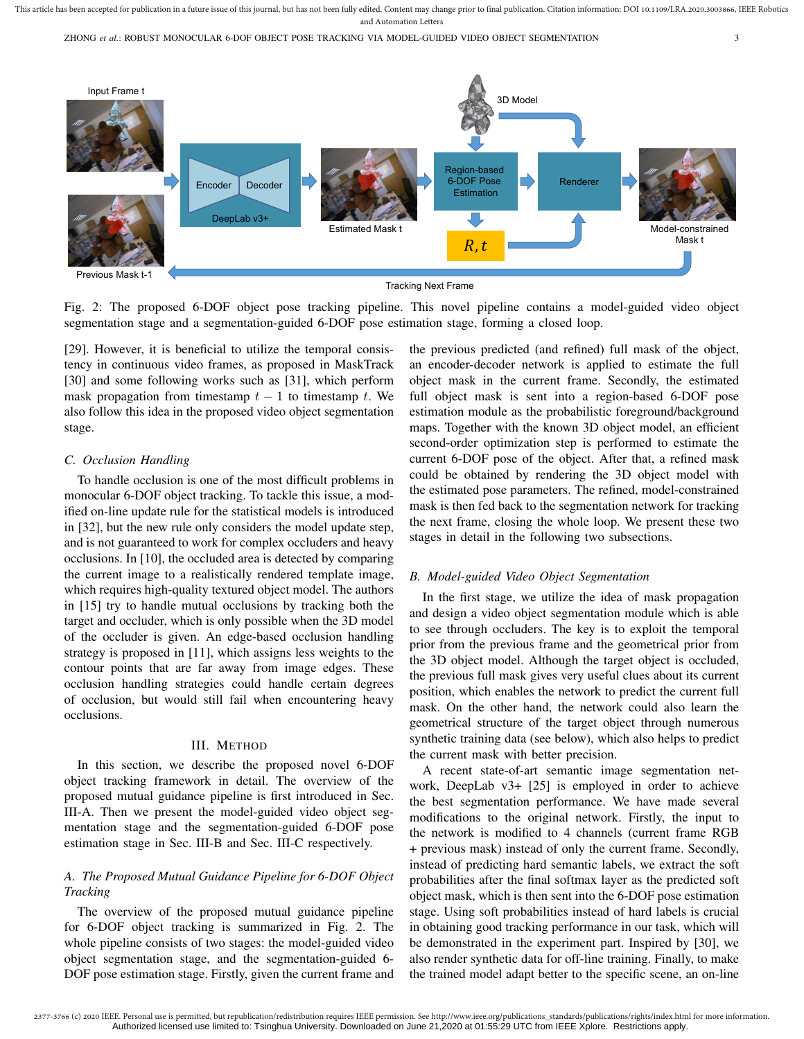ZHONG *et al.*: ROBUST MONOCULAR 6-DOF OBJECT POSE TRACKING VIA MODEL-GUIDED VIDEO OBJECT SEGMENTATION 3



Fig. 2: The proposed 6-DOF object pose tracking pipeline. This novel pipeline contains a model-guided video object segmentation stage and a segmentation-guided 6-DOF pose estimation stage, forming a closed loop.

[29]. However, it is beneficial to utilize the temporal consistency in continuous video frames, as proposed in MaskTrack [30] and some following works such as [31], which perform mask propagation from timestamp  $t - 1$  to timestamp t. We also follow this idea in the proposed video object segmentation stage.

#### *C. Occlusion Handling*

To handle occlusion is one of the most difficult problems in monocular 6-DOF object tracking. To tackle this issue, a modified on-line update rule for the statistical models is introduced in [32], but the new rule only considers the model update step, and is not guaranteed to work for complex occluders and heavy occlusions. In [10], the occluded area is detected by comparing the current image to a realistically rendered template image, which requires high-quality textured object model. The authors in [15] try to handle mutual occlusions by tracking both the target and occluder, which is only possible when the 3D model of the occluder is given. An edge-based occlusion handling strategy is proposed in [11], which assigns less weights to the contour points that are far away from image edges. These occlusion handling strategies could handle certain degrees of occlusion, but would still fail when encountering heavy occlusions.

#### III. METHOD

In this section, we describe the proposed novel 6-DOF object tracking framework in detail. The overview of the proposed mutual guidance pipeline is first introduced in Sec. III-A. Then we present the model-guided video object segmentation stage and the segmentation-guided 6-DOF pose estimation stage in Sec. III-B and Sec. III-C respectively.

# *A. The Proposed Mutual Guidance Pipeline for 6-DOF Object Tracking*

The overview of the proposed mutual guidance pipeline for 6-DOF object tracking is summarized in Fig. 2. The whole pipeline consists of two stages: the model-guided video object segmentation stage, and the segmentation-guided 6- DOF pose estimation stage. Firstly, given the current frame and the previous predicted (and refined) full mask of the object, an encoder-decoder network is applied to estimate the full object mask in the current frame. Secondly, the estimated full object mask is sent into a region-based 6-DOF pose estimation module as the probabilistic foreground/background maps. Together with the known 3D object model, an efficient second-order optimization step is performed to estimate the current 6-DOF pose of the object. After that, a refined mask could be obtained by rendering the 3D object model with the estimated pose parameters. The refined, model-constrained mask is then fed back to the segmentation network for tracking the next frame, closing the whole loop. We present these two stages in detail in the following two subsections.

#### *B. Model-guided Video Object Segmentation*

In the first stage, we utilize the idea of mask propagation and design a video object segmentation module which is able to see through occluders. The key is to exploit the temporal prior from the previous frame and the geometrical prior from the 3D object model. Although the target object is occluded, the previous full mask gives very useful clues about its current position, which enables the network to predict the current full mask. On the other hand, the network could also learn the geometrical structure of the target object through numerous synthetic training data (see below), which also helps to predict the current mask with better precision.

A recent state-of-art semantic image segmentation network, DeepLab v3+ [25] is employed in order to achieve the best segmentation performance. We have made several modifications to the original network. Firstly, the input to the network is modified to 4 channels (current frame RGB + previous mask) instead of only the current frame. Secondly, instead of predicting hard semantic labels, we extract the soft probabilities after the final softmax layer as the predicted soft object mask, which is then sent into the 6-DOF pose estimation stage. Using soft probabilities instead of hard labels is crucial in obtaining good tracking performance in our task, which will be demonstrated in the experiment part. Inspired by [30], we also render synthetic data for off-line training. Finally, to make the trained model adapt better to the specific scene, an on-line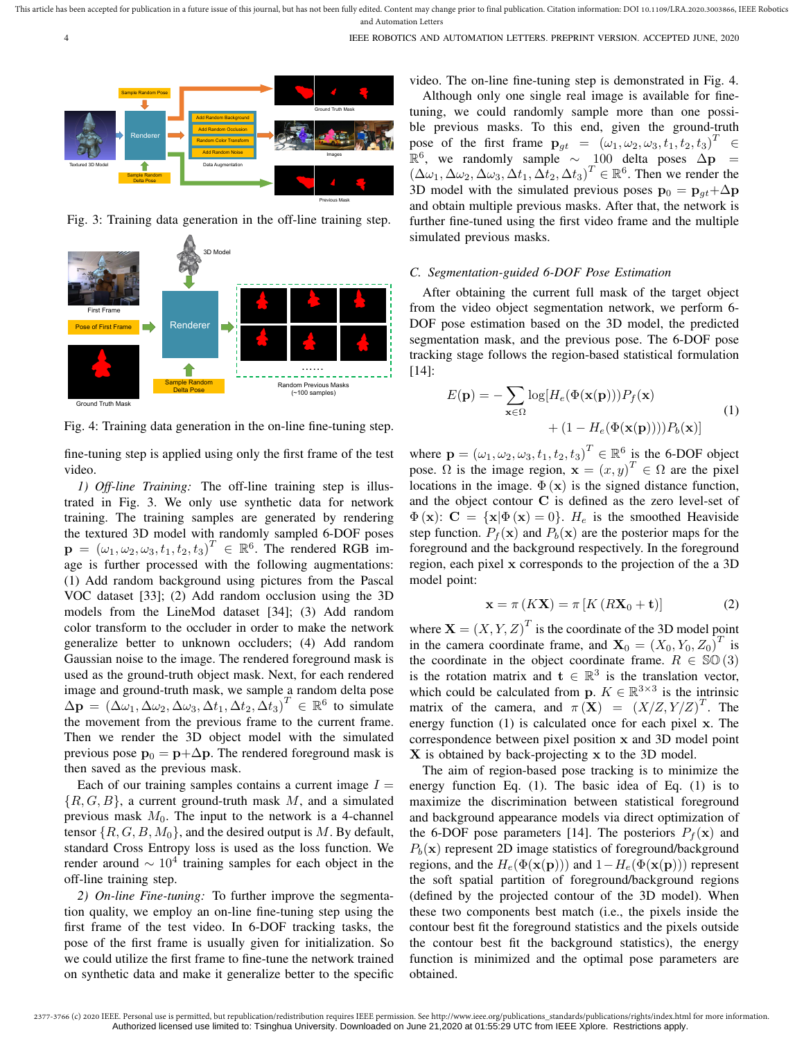

Fig. 3: Training data generation in the off-line training step.



Fig. 4: Training data generation in the on-line fine-tuning step.

fine-tuning step is applied using only the first frame of the test video.

*1) Off-line Training:* The off-line training step is illustrated in Fig. 3. We only use synthetic data for network training. The training samples are generated by rendering the textured 3D model with randomly sampled 6-DOF poses  $\mathbf{p} = (\omega_1, \omega_2, \omega_3, t_1, t_2, t_3)^T \in \mathbb{R}^6$ . The rendered RGB image is further processed with the following augmentations: (1) Add random background using pictures from the Pascal VOC dataset [33]; (2) Add random occlusion using the 3D models from the LineMod dataset [34]; (3) Add random color transform to the occluder in order to make the network generalize better to unknown occluders; (4) Add random Gaussian noise to the image. The rendered foreground mask is used as the ground-truth object mask. Next, for each rendered image and ground-truth mask, we sample a random delta pose  $\Delta \mathbf{p} = (\Delta \omega_1, \Delta \omega_2, \Delta \omega_3, \Delta t_1, \Delta t_2, \Delta t_3)^T \in \mathbb{R}^6$  to simulate the movement from the previous frame to the current frame. Then we render the 3D object model with the simulated previous pose  $\mathbf{p}_0 = \mathbf{p} + \Delta \mathbf{p}$ . The rendered foreground mask is then saved as the previous mask.

Each of our training samples contains a current image  $I =$  $\{R, G, B\}$ , a current ground-truth mask M, and a simulated previous mask  $M_0$ . The input to the network is a 4-channel tensor  $\{R, G, B, M_0\}$ , and the desired output is M. By default, standard Cross Entropy loss is used as the loss function. We render around  $\sim 10^4$  training samples for each object in the off-line training step.

*2) On-line Fine-tuning:* To further improve the segmentation quality, we employ an on-line fine-tuning step using the first frame of the test video. In 6-DOF tracking tasks, the pose of the first frame is usually given for initialization. So we could utilize the first frame to fine-tune the network trained on synthetic data and make it generalize better to the specific video. The on-line fine-tuning step is demonstrated in Fig. 4.

Although only one single real image is available for finetuning, we could randomly sample more than one possible previous masks. To this end, given the ground-truth pose of the first frame  $\mathbf{p}_{gt} = (\omega_1, \omega_2, \omega_3, t_1, t_2, t_3)^T \in$  $\mathbb{R}^6$ , we randomly sample ~ 100 delta poses  $\Delta \mathbf{p}$  =  $(\Delta\omega_1, \Delta\omega_2, \Delta\omega_3, \Delta t_1, \Delta t_2, \Delta t_3)^T \in \mathbb{R}^6$ . Then we render the 3D model with the simulated previous poses  $\mathbf{p}_0 = \mathbf{p}_{at} + \Delta \mathbf{p}$ and obtain multiple previous masks. After that, the network is further fine-tuned using the first video frame and the multiple simulated previous masks.

## *C. Segmentation-guided 6-DOF Pose Estimation*

After obtaining the current full mask of the target object from the video object segmentation network, we perform 6- DOF pose estimation based on the 3D model, the predicted segmentation mask, and the previous pose. The 6-DOF pose tracking stage follows the region-based statistical formulation [14]:

$$
E(\mathbf{p}) = -\sum_{\mathbf{x} \in \Omega} \log[H_e(\Phi(\mathbf{x}(\mathbf{p}))) P_f(\mathbf{x}) + (1 - H_e(\Phi(\mathbf{x}(\mathbf{p})))) P_b(\mathbf{x})]
$$
(1)

where  $\mathbf{p} = (\omega_1, \omega_2, \omega_3, t_1, t_2, t_3)^T \in \mathbb{R}^6$  is the 6-DOF object pose.  $\Omega$  is the image region,  $\mathbf{x} = (x, y)^T \in \Omega$  are the pixel locations in the image.  $\Phi(\mathbf{x})$  is the signed distance function, and the object contour C is defined as the zero level-set of  $\Phi(\mathbf{x})$ :  $\mathbf{C} = {\mathbf{x}|\Phi(\mathbf{x})=0}$ .  $H_e$  is the smoothed Heaviside step function.  $P_f(\mathbf{x})$  and  $P_b(\mathbf{x})$  are the posterior maps for the foreground and the background respectively. In the foreground region, each pixel x corresponds to the projection of the a 3D model point:

$$
\mathbf{x} = \pi \left( K \mathbf{X} \right) = \pi \left[ K \left( R \mathbf{X}_0 + \mathbf{t} \right) \right] \tag{2}
$$

where  $\mathbf{X} = (X, Y, Z)^T$  is the coordinate of the 3D model point in the camera coordinate frame, and  $X_0 = (X_0, Y_0, Z_0)^T$  is the coordinate in the object coordinate frame.  $R \in \mathbb{SO}(3)$ is the rotation matrix and  $t \in \mathbb{R}^3$  is the translation vector, which could be calculated from **p**.  $K \in \mathbb{R}^{3 \times 3}$  is the intrinsic matrix of the camera, and  $\pi(\mathbf{X}) = (X/Z, Y/Z)^T$ . The energy function (1) is calculated once for each pixel x. The correspondence between pixel position x and 3D model point X is obtained by back-projecting x to the 3D model.

The aim of region-based pose tracking is to minimize the energy function Eq. (1). The basic idea of Eq. (1) is to maximize the discrimination between statistical foreground and background appearance models via direct optimization of the 6-DOF pose parameters [14]. The posteriors  $P_f(\mathbf{x})$  and  $P_b(\mathbf{x})$  represent 2D image statistics of foreground/background regions, and the  $H_e(\Phi(\mathbf{x(p)}))$  and  $1-H_e(\Phi(\mathbf{x(p)}))$  represent the soft spatial partition of foreground/background regions (defined by the projected contour of the 3D model). When these two components best match (i.e., the pixels inside the contour best fit the foreground statistics and the pixels outside the contour best fit the background statistics), the energy function is minimized and the optimal pose parameters are obtained.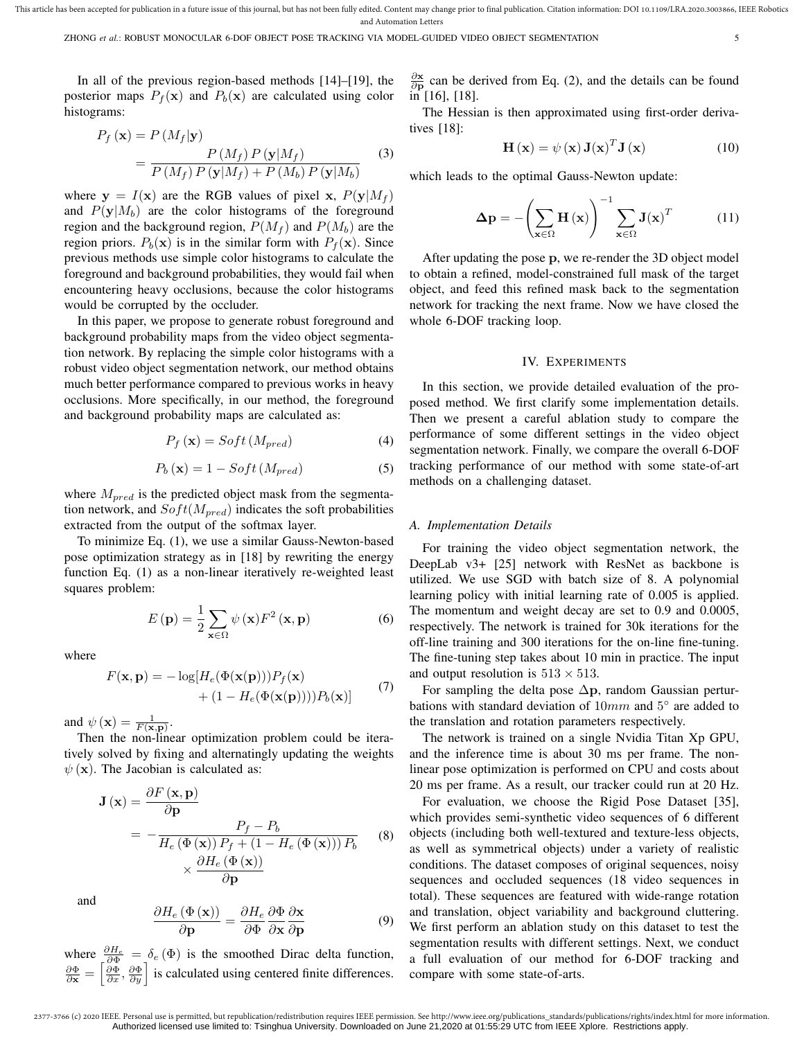This article has been accepted for publication in a future issue of this journal, but has not been fully edited. Content may change prior to final publication. Citation information: DOI 10.1109/LRA.2020.3003866, IEEE Robot and Automation Letters

In all of the previous region-based methods [14]–[19], the posterior maps  $P_f(\mathbf{x})$  and  $P_b(\mathbf{x})$  are calculated using color histograms:

$$
P_f(\mathbf{x}) = P(M_f|\mathbf{y})
$$
  
= 
$$
\frac{P(M_f) P(\mathbf{y}|M_f)}{P(M_f) P(\mathbf{y}|M_f) + P(M_b) P(\mathbf{y}|M_b)}
$$
(3)

where  $y = I(x)$  are the RGB values of pixel x,  $P(y|M_f)$ and  $P(y|M_b)$  are the color histograms of the foreground region and the background region,  $P(M_f)$  and  $P(M_b)$  are the region priors.  $P_b(\mathbf{x})$  is in the similar form with  $P_f(\mathbf{x})$ . Since previous methods use simple color histograms to calculate the foreground and background probabilities, they would fail when encountering heavy occlusions, because the color histograms would be corrupted by the occluder.

In this paper, we propose to generate robust foreground and background probability maps from the video object segmentation network. By replacing the simple color histograms with a robust video object segmentation network, our method obtains much better performance compared to previous works in heavy occlusions. More specifically, in our method, the foreground and background probability maps are calculated as:

$$
P_f(\mathbf{x}) = Soft(M_{pred})
$$
\n(4)

$$
P_b(\mathbf{x}) = 1 - Soft(M_{pred})
$$
 (5)

where  $M_{pred}$  is the predicted object mask from the segmentation network, and  $Soft(M_{pred})$  indicates the soft probabilities extracted from the output of the softmax layer.

To minimize Eq. (1), we use a similar Gauss-Newton-based pose optimization strategy as in [18] by rewriting the energy function Eq. (1) as a non-linear iteratively re-weighted least squares problem:

$$
E(\mathbf{p}) = \frac{1}{2} \sum_{\mathbf{x} \in \Omega} \psi(\mathbf{x}) F^2(\mathbf{x}, \mathbf{p})
$$
 (6)

where

$$
F(\mathbf{x}, \mathbf{p}) = -\log[H_e(\Phi(\mathbf{x}(\mathbf{p})))P_f(\mathbf{x}) + (1 - H_e(\Phi(\mathbf{x}(\mathbf{p}))))P_b(\mathbf{x})]
$$
(7)

and  $\psi(\mathbf{x}) = \frac{1}{F(\mathbf{x}, \mathbf{p})}$ .

Then the non-linear optimization problem could be iteratively solved by fixing and alternatingly updating the weights  $\psi(\mathbf{x})$ . The Jacobian is calculated as:

$$
\mathbf{J}(\mathbf{x}) = \frac{\partial F(\mathbf{x}, \mathbf{p})}{\partial \mathbf{p}}
$$
  
= 
$$
-\frac{P_f - P_b}{H_e(\Phi(\mathbf{x})) P_f + (1 - H_e(\Phi(\mathbf{x}))) P_b}
$$
 (8)  

$$
\times \frac{\partial H_e(\Phi(\mathbf{x}))}{\partial \mathbf{p}}
$$

and

$$
\frac{\partial H_e(\Phi(\mathbf{x}))}{\partial \mathbf{p}} = \frac{\partial H_e}{\partial \Phi} \frac{\partial \Phi}{\partial \mathbf{x}} \frac{\partial \mathbf{x}}{\partial \mathbf{p}}
$$
(9)

where  $\frac{\partial H_e}{\partial \Phi} = \delta_e (\Phi)$  is the smoothed Dirac delta function,<br>  $\frac{\partial \Phi}{\partial x} = \left[ \frac{\partial \Phi}{\partial x}, \frac{\partial \Phi}{\partial y} \right]$  is calculated using centered finite differences.

 $\frac{\partial x}{\partial p}$  can be derived from Eq. (2), and the details can be found in [16], [18].

The Hessian is then approximated using first-order derivatives [18]:

$$
\mathbf{H}(\mathbf{x}) = \psi(\mathbf{x}) \mathbf{J}(\mathbf{x})^T \mathbf{J}(\mathbf{x}) \tag{10}
$$

which leads to the optimal Gauss-Newton update:

$$
\Delta \mathbf{p} = -\left(\sum_{\mathbf{x} \in \Omega} \mathbf{H}\left(\mathbf{x}\right)\right)^{-1} \sum_{\mathbf{x} \in \Omega} \mathbf{J}\left(\mathbf{x}\right)^{T} \tag{11}
$$

After updating the pose p, we re-render the 3D object model to obtain a refined, model-constrained full mask of the target object, and feed this refined mask back to the segmentation network for tracking the next frame. Now we have closed the whole 6-DOF tracking loop.

#### IV. EXPERIMENTS

In this section, we provide detailed evaluation of the proposed method. We first clarify some implementation details. Then we present a careful ablation study to compare the performance of some different settings in the video object segmentation network. Finally, we compare the overall 6-DOF tracking performance of our method with some state-of-art methods on a challenging dataset.

#### *A. Implementation Details*

For training the video object segmentation network, the DeepLab v3+ [25] network with ResNet as backbone is utilized. We use SGD with batch size of 8. A polynomial learning policy with initial learning rate of 0.005 is applied. The momentum and weight decay are set to 0.9 and 0.0005, respectively. The network is trained for 30k iterations for the off-line training and 300 iterations for the on-line fine-tuning. The fine-tuning step takes about 10 min in practice. The input and output resolution is  $513 \times 513$ .

For sampling the delta pose  $\Delta p$ , random Gaussian perturbations with standard deviation of  $10mm$  and  $5^{\circ}$  are added to the translation and rotation parameters respectively.

The network is trained on a single Nvidia Titan Xp GPU, and the inference time is about 30 ms per frame. The nonlinear pose optimization is performed on CPU and costs about 20 ms per frame. As a result, our tracker could run at 20 Hz.

For evaluation, we choose the Rigid Pose Dataset [35], which provides semi-synthetic video sequences of 6 different objects (including both well-textured and texture-less objects, as well as symmetrical objects) under a variety of realistic conditions. The dataset composes of original sequences, noisy sequences and occluded sequences (18 video sequences in total). These sequences are featured with wide-range rotation and translation, object variability and background cluttering. We first perform an ablation study on this dataset to test the segmentation results with different settings. Next, we conduct a full evaluation of our method for 6-DOF tracking and compare with some state-of-arts.

<sup>2377-3766 (</sup>c) 2020 IEEE. Personal use is permitted, but republication/redistribution requires IEEE permission. See http://www.ieee.org/publications\_standards/publications/rights/index.html for more information. Authorized licensed use limited to: Tsinghua University. Downloaded on June 21,2020 at 01:55:29 UTC from IEEE Xplore. Restrictions apply.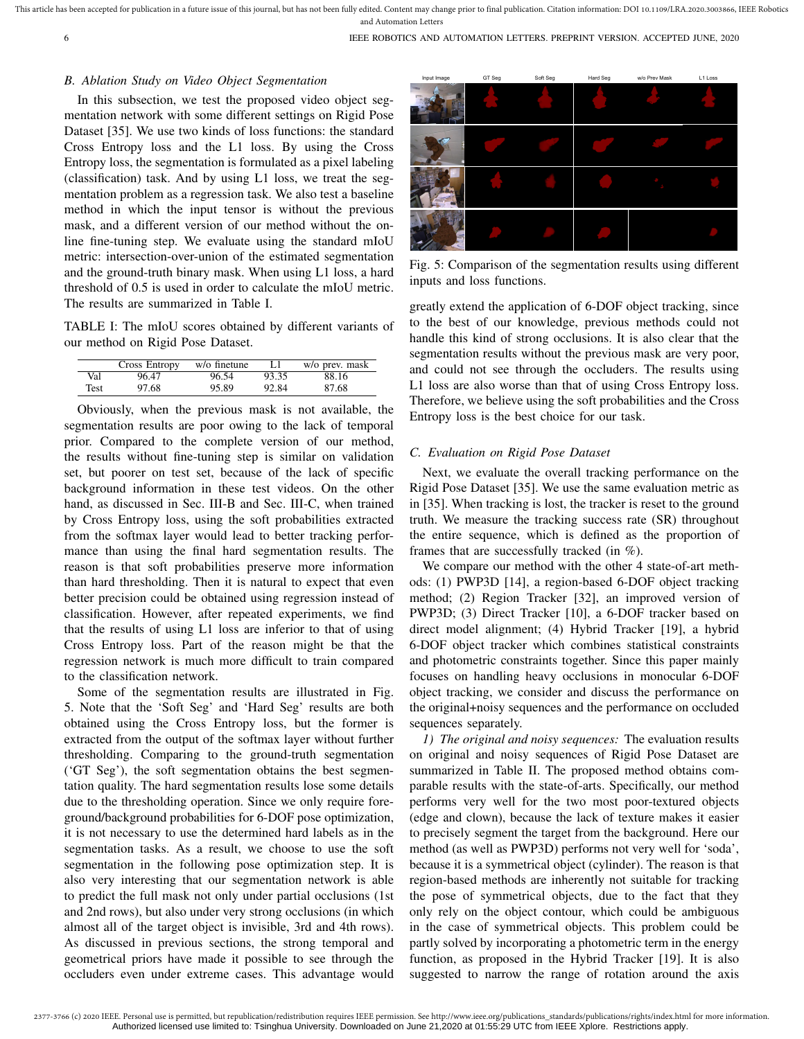## *B. Ablation Study on Video Object Segmentation*

In this subsection, we test the proposed video object segmentation network with some different settings on Rigid Pose Dataset [35]. We use two kinds of loss functions: the standard Cross Entropy loss and the L1 loss. By using the Cross Entropy loss, the segmentation is formulated as a pixel labeling (classification) task. And by using L1 loss, we treat the segmentation problem as a regression task. We also test a baseline method in which the input tensor is without the previous mask, and a different version of our method without the online fine-tuning step. We evaluate using the standard mIoU metric: intersection-over-union of the estimated segmentation and the ground-truth binary mask. When using L1 loss, a hard threshold of 0.5 is used in order to calculate the mIoU metric. The results are summarized in Table I.

TABLE I: The mIoU scores obtained by different variants of our method on Rigid Pose Dataset.

|      | Cross Entropy | w/o finetune |       | w/o prev. mask |
|------|---------------|--------------|-------|----------------|
| Val  | 96.47         | 96.54        | 93.35 | 88.16          |
| Test | 97.68         | 95.89        | 92.84 | 87.68          |

Obviously, when the previous mask is not available, the segmentation results are poor owing to the lack of temporal prior. Compared to the complete version of our method, the results without fine-tuning step is similar on validation set, but poorer on test set, because of the lack of specific background information in these test videos. On the other hand, as discussed in Sec. III-B and Sec. III-C, when trained by Cross Entropy loss, using the soft probabilities extracted from the softmax layer would lead to better tracking performance than using the final hard segmentation results. The reason is that soft probabilities preserve more information than hard thresholding. Then it is natural to expect that even better precision could be obtained using regression instead of classification. However, after repeated experiments, we find that the results of using L1 loss are inferior to that of using Cross Entropy loss. Part of the reason might be that the regression network is much more difficult to train compared to the classification network.

Some of the segmentation results are illustrated in Fig. 5. Note that the 'Soft Seg' and 'Hard Seg' results are both obtained using the Cross Entropy loss, but the former is extracted from the output of the softmax layer without further thresholding. Comparing to the ground-truth segmentation ('GT Seg'), the soft segmentation obtains the best segmentation quality. The hard segmentation results lose some details due to the thresholding operation. Since we only require foreground/background probabilities for 6-DOF pose optimization, it is not necessary to use the determined hard labels as in the segmentation tasks. As a result, we choose to use the soft segmentation in the following pose optimization step. It is also very interesting that our segmentation network is able to predict the full mask not only under partial occlusions (1st and 2nd rows), but also under very strong occlusions (in which almost all of the target object is invisible, 3rd and 4th rows). As discussed in previous sections, the strong temporal and geometrical priors have made it possible to see through the occluders even under extreme cases. This advantage would



Fig. 5: Comparison of the segmentation results using different inputs and loss functions.

greatly extend the application of 6-DOF object tracking, since to the best of our knowledge, previous methods could not handle this kind of strong occlusions. It is also clear that the segmentation results without the previous mask are very poor, and could not see through the occluders. The results using L1 loss are also worse than that of using Cross Entropy loss. Therefore, we believe using the soft probabilities and the Cross Entropy loss is the best choice for our task.

#### *C. Evaluation on Rigid Pose Dataset*

Next, we evaluate the overall tracking performance on the Rigid Pose Dataset [35]. We use the same evaluation metric as in [35]. When tracking is lost, the tracker is reset to the ground truth. We measure the tracking success rate (SR) throughout the entire sequence, which is defined as the proportion of frames that are successfully tracked (in %).

We compare our method with the other 4 state-of-art methods: (1) PWP3D [14], a region-based 6-DOF object tracking method; (2) Region Tracker [32], an improved version of PWP3D; (3) Direct Tracker [10], a 6-DOF tracker based on direct model alignment; (4) Hybrid Tracker [19], a hybrid 6-DOF object tracker which combines statistical constraints and photometric constraints together. Since this paper mainly focuses on handling heavy occlusions in monocular 6-DOF object tracking, we consider and discuss the performance on the original+noisy sequences and the performance on occluded sequences separately.

*1) The original and noisy sequences:* The evaluation results on original and noisy sequences of Rigid Pose Dataset are summarized in Table II. The proposed method obtains comparable results with the state-of-arts. Specifically, our method performs very well for the two most poor-textured objects (edge and clown), because the lack of texture makes it easier to precisely segment the target from the background. Here our method (as well as PWP3D) performs not very well for 'soda', because it is a symmetrical object (cylinder). The reason is that region-based methods are inherently not suitable for tracking the pose of symmetrical objects, due to the fact that they only rely on the object contour, which could be ambiguous in the case of symmetrical objects. This problem could be partly solved by incorporating a photometric term in the energy function, as proposed in the Hybrid Tracker [19]. It is also suggested to narrow the range of rotation around the axis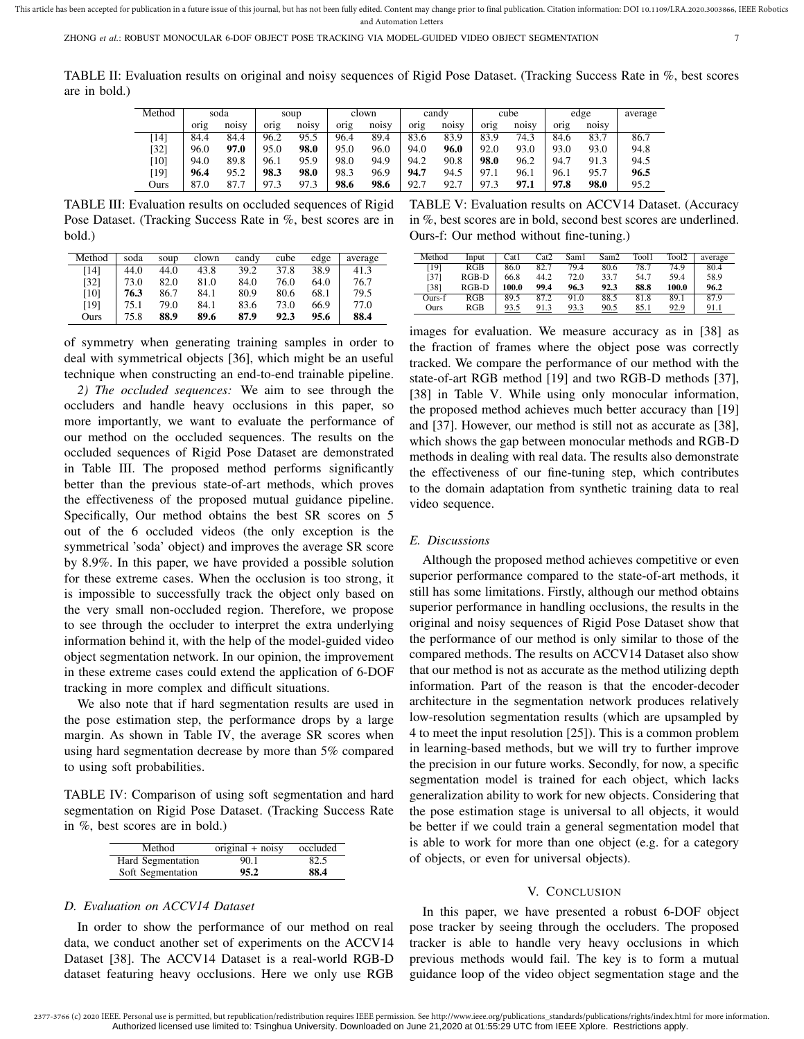TABLE II: Evaluation results on original and noisy sequences of Rigid Pose Dataset. (Tracking Success Rate in %, best scores are in bold.)

| Method             | soda |       | soup |                    | clown |       | candy |                    | cube |       | edge |           | average |
|--------------------|------|-------|------|--------------------|-------|-------|-------|--------------------|------|-------|------|-----------|---------|
|                    | orig | noisy | orig | no <sub>1</sub> sv | orig  | noisy | orig  | no <sub>1</sub> sv | orig | noisy | orig | noisy     |         |
| [14]               | 84.4 | 84.4  | 96.2 | 95.5               | 96.4  | 89.4  | 83.6  | 83.9               | 83.9 | 74.3  | 84.6 | 83.7<br>∍ | 86.7    |
| [32]               | 96.0 | 97.0  | 95.0 | 98.0               | 95.0  | 96.0  | 94.0  | 96.0               | 92.0 | 93.0  | 93.0 | 93.0      | 94.8    |
| $\lceil 10 \rceil$ | 94.0 | 89.8  | 96.1 | 95.9               | 98.0  | 94.9  | 94.2  | 90.8               | 98.0 | 96.2  | 94.  | 91.3      | 94.5    |
| [19]               | 96.4 | 95.2  | 98.3 | 98.0               | 98.3  | 96.9  | 94.7  | 94.5               | 97.1 | 96.1  | 96.1 | 95.7      | 96.5    |
| Ours               | 87.0 | 87.7  | 97.3 | 97.3               | 98.6  | 98.6  | 92.7  | 92.7               | 97.3 | 97.1  | 97.8 | 98.0      | 95.2    |

TABLE III: Evaluation results on occluded sequences of Rigid Pose Dataset. (Tracking Success Rate in %, best scores are in bold.)

| Method | soda | soup | clown | candy | cube | edge | average |
|--------|------|------|-------|-------|------|------|---------|
| [14]   | 44.0 | 44.0 | 43.8  | 39.2  | 37.8 | 38.9 | 41.3    |
| [32]   | 73.0 | 82.0 | 81.0  | 84.0  | 76.0 | 64.0 | 76.7    |
| [10]   | 76.3 | 86.7 | 84.1  | 80.9  | 80.6 | 68.1 | 79.5    |
| [19]   | 75.1 | 79.0 | 84.1  | 83.6  | 73.0 | 66.9 | 77.0    |
| Ours   | 75.8 | 88.9 | 89.6  | 87.9  | 92.3 | 95.6 | 88.4    |

of symmetry when generating training samples in order to deal with symmetrical objects [36], which might be an useful technique when constructing an end-to-end trainable pipeline.

*2) The occluded sequences:* We aim to see through the occluders and handle heavy occlusions in this paper, so more importantly, we want to evaluate the performance of our method on the occluded sequences. The results on the occluded sequences of Rigid Pose Dataset are demonstrated in Table III. The proposed method performs significantly better than the previous state-of-art methods, which proves the effectiveness of the proposed mutual guidance pipeline. Specifically, Our method obtains the best SR scores on 5 out of the 6 occluded videos (the only exception is the symmetrical 'soda' object) and improves the average SR score by 8.9%. In this paper, we have provided a possible solution for these extreme cases. When the occlusion is too strong, it is impossible to successfully track the object only based on the very small non-occluded region. Therefore, we propose to see through the occluder to interpret the extra underlying information behind it, with the help of the model-guided video object segmentation network. In our opinion, the improvement in these extreme cases could extend the application of 6-DOF tracking in more complex and difficult situations.

We also note that if hard segmentation results are used in the pose estimation step, the performance drops by a large margin. As shown in Table IV, the average SR scores when using hard segmentation decrease by more than 5% compared to using soft probabilities.

TABLE IV: Comparison of using soft segmentation and hard segmentation on Rigid Pose Dataset. (Tracking Success Rate in %, best scores are in bold.)

| Method            | original $+$ noisy | occluded |
|-------------------|--------------------|----------|
| Hard Segmentation | 90.1               | 82.5     |
| Soft Segmentation | 95.2               | 88.4     |

### *D. Evaluation on ACCV14 Dataset*

In order to show the performance of our method on real data, we conduct another set of experiments on the ACCV14 Dataset [38]. The ACCV14 Dataset is a real-world RGB-D dataset featuring heavy occlusions. Here we only use RGB

TABLE V: Evaluation results on ACCV14 Dataset. (Accuracy in %, best scores are in bold, second best scores are underlined. Ours-f: Our method without fine-tuning.)

| Method | Input   | Cat1  | Cat2 | Sam1 | Sam2 | Tool1 | Tool2 | average |
|--------|---------|-------|------|------|------|-------|-------|---------|
| [19]   | RGB     | 86.0  | 82.7 | 79.4 | 80.6 | 78.7  | 74.9  | 80.4    |
| [37]   | $RGB-D$ | 66.8  | 44.2 | 72.0 | 33.7 | 54.7  | 59.4  | 58.9    |
| [38]   | $RGB-D$ | 100.0 | 99.4 | 96.3 | 92.3 | 88.8  | 100.0 | 96.2    |
| Ours-f | RGB     | 89.5  | 87.2 | 91.0 | 88.5 | 81.8  | 89.1  | 87.9    |
| Ours   | RGB     | 93.5  | 91.3 | 93.3 | 90.5 | 85.1  | 92.9  | 91.1    |

images for evaluation. We measure accuracy as in [38] as the fraction of frames where the object pose was correctly tracked. We compare the performance of our method with the state-of-art RGB method [19] and two RGB-D methods [37], [38] in Table V. While using only monocular information, the proposed method achieves much better accuracy than [19] and [37]. However, our method is still not as accurate as [38], which shows the gap between monocular methods and RGB-D methods in dealing with real data. The results also demonstrate the effectiveness of our fine-tuning step, which contributes to the domain adaptation from synthetic training data to real video sequence.

#### *E. Discussions*

Although the proposed method achieves competitive or even superior performance compared to the state-of-art methods, it still has some limitations. Firstly, although our method obtains superior performance in handling occlusions, the results in the original and noisy sequences of Rigid Pose Dataset show that the performance of our method is only similar to those of the compared methods. The results on ACCV14 Dataset also show that our method is not as accurate as the method utilizing depth information. Part of the reason is that the encoder-decoder architecture in the segmentation network produces relatively low-resolution segmentation results (which are upsampled by 4 to meet the input resolution [25]). This is a common problem in learning-based methods, but we will try to further improve the precision in our future works. Secondly, for now, a specific segmentation model is trained for each object, which lacks generalization ability to work for new objects. Considering that the pose estimation stage is universal to all objects, it would be better if we could train a general segmentation model that is able to work for more than one object (e.g. for a category of objects, or even for universal objects).

#### V. CONCLUSION

In this paper, we have presented a robust 6-DOF object pose tracker by seeing through the occluders. The proposed tracker is able to handle very heavy occlusions in which previous methods would fail. The key is to form a mutual guidance loop of the video object segmentation stage and the